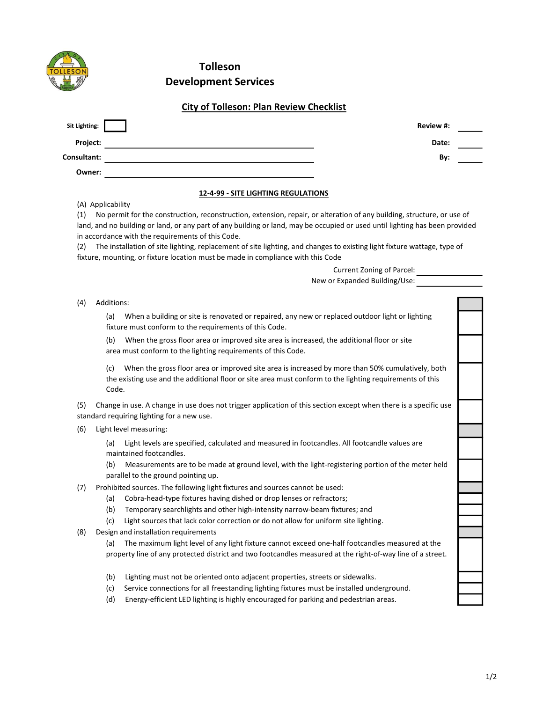|                                 | <b>Tolleson</b>                                                                                                                                                                                                                                                                                                                                                                                                                                                                                                            |  |
|---------------------------------|----------------------------------------------------------------------------------------------------------------------------------------------------------------------------------------------------------------------------------------------------------------------------------------------------------------------------------------------------------------------------------------------------------------------------------------------------------------------------------------------------------------------------|--|
|                                 | <b>Development Services</b>                                                                                                                                                                                                                                                                                                                                                                                                                                                                                                |  |
|                                 | <b>City of Tolleson: Plan Review Checklist</b>                                                                                                                                                                                                                                                                                                                                                                                                                                                                             |  |
| Sit Lighting:                   | Review #:                                                                                                                                                                                                                                                                                                                                                                                                                                                                                                                  |  |
| Project:                        | Date:                                                                                                                                                                                                                                                                                                                                                                                                                                                                                                                      |  |
| Consultant:                     | By:                                                                                                                                                                                                                                                                                                                                                                                                                                                                                                                        |  |
| Owner:                          |                                                                                                                                                                                                                                                                                                                                                                                                                                                                                                                            |  |
|                                 | <b>12-4-99 - SITE LIGHTING REGULATIONS</b>                                                                                                                                                                                                                                                                                                                                                                                                                                                                                 |  |
| (A) Applicability<br>(1)<br>(2) | No permit for the construction, reconstruction, extension, repair, or alteration of any building, structure, or use of<br>land, and no building or land, or any part of any building or land, may be occupied or used until lighting has been provided<br>in accordance with the requirements of this Code.<br>The installation of site lighting, replacement of site lighting, and changes to existing light fixture wattage, type of<br>fixture, mounting, or fixture location must be made in compliance with this Code |  |
|                                 | Current Zoning of Parcel:                                                                                                                                                                                                                                                                                                                                                                                                                                                                                                  |  |
|                                 | New or Expanded Building/Use:                                                                                                                                                                                                                                                                                                                                                                                                                                                                                              |  |
| Additions:<br>(4)               |                                                                                                                                                                                                                                                                                                                                                                                                                                                                                                                            |  |
| (a)                             | When a building or site is renovated or repaired, any new or replaced outdoor light or lighting<br>fixture must conform to the requirements of this Code.                                                                                                                                                                                                                                                                                                                                                                  |  |
| (b)                             | When the gross floor area or improved site area is increased, the additional floor or site<br>area must conform to the lighting requirements of this Code.                                                                                                                                                                                                                                                                                                                                                                 |  |
| (c)<br>Code.                    | When the gross floor area or improved site area is increased by more than 50% cumulatively, both<br>the existing use and the additional floor or site area must conform to the lighting requirements of this                                                                                                                                                                                                                                                                                                               |  |
| (5)                             | Change in use. A change in use does not trigger application of this section except when there is a specific use<br>standard requiring lighting for a new use.                                                                                                                                                                                                                                                                                                                                                              |  |
| (6)                             | Light level measuring:                                                                                                                                                                                                                                                                                                                                                                                                                                                                                                     |  |
| (a)                             | Light levels are specified, calculated and measured in footcandles. All footcandle values are<br>maintained footcandles.                                                                                                                                                                                                                                                                                                                                                                                                   |  |
| (b)                             | Measurements are to be made at ground level, with the light-registering portion of the meter held<br>parallel to the ground pointing up.                                                                                                                                                                                                                                                                                                                                                                                   |  |
| (7)                             | Prohibited sources. The following light fixtures and sources cannot be used:                                                                                                                                                                                                                                                                                                                                                                                                                                               |  |
| (a)<br>(b)                      | Cobra-head-type fixtures having dished or drop lenses or refractors;<br>Temporary searchlights and other high-intensity narrow-beam fixtures; and                                                                                                                                                                                                                                                                                                                                                                          |  |
| (c)                             | Light sources that lack color correction or do not allow for uniform site lighting.                                                                                                                                                                                                                                                                                                                                                                                                                                        |  |
| (8)                             | Design and installation requirements                                                                                                                                                                                                                                                                                                                                                                                                                                                                                       |  |
| (a)                             | The maximum light level of any light fixture cannot exceed one-half footcandles measured at the                                                                                                                                                                                                                                                                                                                                                                                                                            |  |
|                                 | property line of any protected district and two footcandles measured at the right-of-way line of a street.                                                                                                                                                                                                                                                                                                                                                                                                                 |  |
| (b)                             | Lighting must not be oriented onto adjacent properties, streets or sidewalks.                                                                                                                                                                                                                                                                                                                                                                                                                                              |  |
|                                 | Service connections for all freestanding lighting fixtures must be installed underground.                                                                                                                                                                                                                                                                                                                                                                                                                                  |  |
| (c)                             |                                                                                                                                                                                                                                                                                                                                                                                                                                                                                                                            |  |